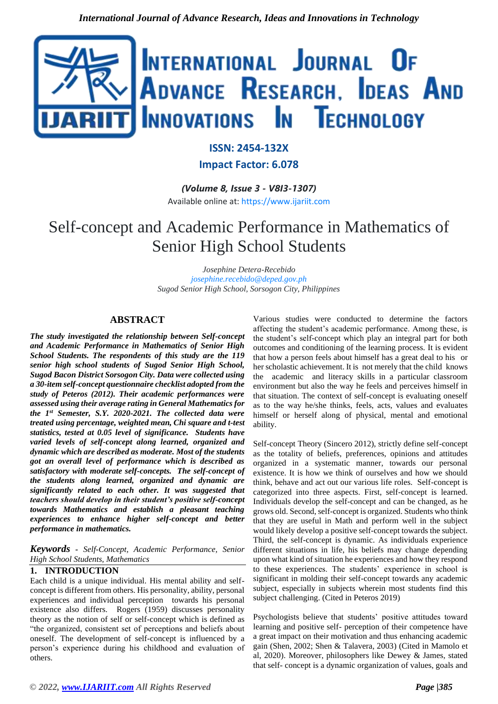

# **ISSN: 2454-132X Impact Factor: 6.078**

*(Volume 8, Issue 3 - V8I3-1307)* Available online at: [https://www.ijariit.com](https://www.ijariit.com/?utm_source=pdf&utm_medium=edition&utm_campaign=OmAkSols&utm_term=V8I3-1307)

# Self-concept and Academic Performance in Mathematics of Senior High School Students

*Josephine Detera-Recebido [josephine.recebido@deped.gov.ph](mailto:josephine.recebido@deped.gov.ph) Sugod Senior High School, Sorsogon City, Philippines*

# **ABSTRACT**

*The study investigated the relationship between Self-concept and Academic Performance in Mathematics of Senior High School Students. The respondents of this study are the 119 senior high school students of Sugod Senior High School, Sugod Bacon District Sorsogon City. Data were collected using a 30-item self-concept questionnaire checklist adopted from the study of Peteros (2012). Their academic performances were assessed using their average rating in General Mathematics for the 1st Semester, S.Y. 2020-2021. The collected data were treated using percentage, weighted mean, Chi square and t-test statistics, tested at 0.05 level of significance. Students have varied levels of self-concept along learned, organized and dynamic which are described as moderate. Most of the students got an overall level of performance which is described as satisfactory with moderate self-concepts. The self-concept of the students along learned, organized and dynamic are significantly related to each other. It was suggested that teachers should develop in their student's positive self-concept towards Mathematics and establish a pleasant teaching experiences to enhance higher self-concept and better performance in mathematics.* 

*Keywords - Self-Concept, Academic Performance, Senior High School Students, Mathematics* 

# **1. INTRODUCTION**

Each child is a unique individual. His mental ability and selfconcept is different from others. His personality, ability, personal experiences and individual perception towards his personal existence also differs. Rogers (1959) discusses personality theory as the notion of self or self-concept which is defined as "the organized, consistent set of perceptions and beliefs about oneself. The development of self-concept is influenced by a person's experience during his childhood and evaluation of others.

Various studies were conducted to determine the factors affecting the student's academic performance. Among these, is the student's self-concept which play an integral part for both outcomes and conditioning of the learning process. It is evident that how a person feels about himself has a great deal to his or her scholastic achievement. It is not merely that the child knows the academic and literacy skills in a particular classroom environment but also the way he feels and perceives himself in that situation. The context of self-concept is evaluating oneself as to the way he/she thinks, feels, acts, values and evaluates himself or herself along of physical, mental and emotional ability.

Self-concept Theory (Sincero 2012), strictly define self-concept as the totality of beliefs, preferences, opinions and attitudes organized in a systematic manner, towards our personal existence. It is how we think of ourselves and how we should think, behave and act out our various life roles. Self-concept is categorized into three aspects. First, self-concept is learned. Individuals develop the self-concept and can be changed, as he grows old. Second, self-concept is organized. Students who think that they are useful in Math and perform well in the subject would likely develop a positive self-concept towards the subject. Third, the self-concept is dynamic. As individuals experience different situations in life, his beliefs may change depending upon what kind of situation he experiences and how they respond to these experiences. The students' experience in school is significant in molding their self-concept towards any academic subject, especially in subjects wherein most students find this subject challenging. (Cited in Peteros 2019)

Psychologists believe that students' positive attitudes toward learning and positive self- perception of their competence have a great impact on their motivation and thus enhancing academic gain (Shen, 2002; Shen & Talavera, 2003) (Cited in Mamolo et al, 2020). Moreover, philosophers like Dewey & James, stated that self- concept is a dynamic organization of values, goals and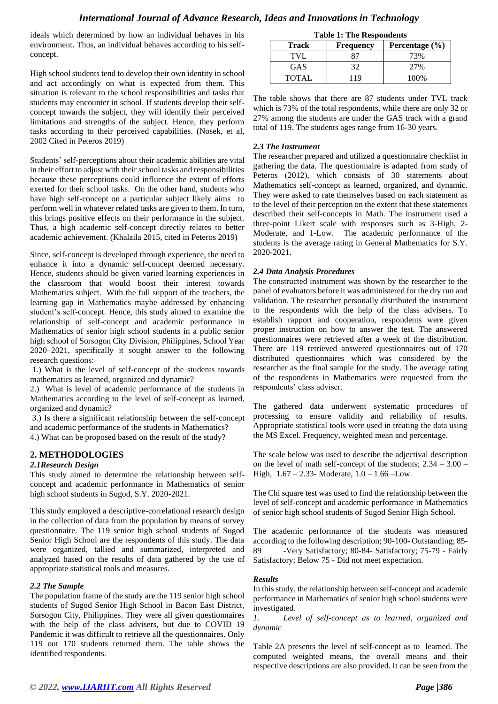ideals which determined by how an individual behaves in his environment. Thus, an individual behaves according to his selfconcept.

High school students tend to develop their own identity in school and act accordingly on what is expected from them. This situation is relevant to the school responsibilities and tasks that students may encounter in school. If students develop their selfconcept towards the subject, they will identify their perceived limitations and strengths of the subject. Hence, they perform tasks according to their perceived capabilities. (Nosek, et al, 2002 Cited in Peteros 2019)

Students' self-perceptions about their academic abilities are vital in their effort to adjust with their school tasks and responsibilities because these perceptions could influence the extent of efforts exerted for their school tasks. On the other hand, students who have high self-concept on a particular subject likely aims to perform well in whatever related tasks are given to them. In turn, this brings positive effects on their performance in the subject. Thus, a high academic self-concept directly relates to better academic achievement. (Khalaila 2015, cited in Peteros 2019)

Since, self-concept is developed through experience, the need to enhance it into a dynamic self-concept deemed necessary. Hence, students should be given varied learning experiences in the classroom that would boost their interest towards Mathematics subject. With the full support of the teachers, the learning gap in Mathematics maybe addressed by enhancing student's self-concept. Hence, this study aimed to examine the relationship of self-concept and academic performance in Mathematics of senior high school students in a public senior high school of Sorsogon City Division, Philippines, School Year 2020–2021, specifically it sought answer to the following research questions:

1.) What is the level of self-concept of the students towards mathematics as learned, organized and dynamic?

2.) What is level of academic performance of the students in Mathematics according to the level of self-concept as learned, organized and dynamic?

3.) Is there a significant relationship between the self-concept and academic performance of the students in Mathematics? 4.) What can be proposed based on the result of the study?

# **2. METHODOLOGIES**

#### *2.1Research Design*

This study aimed to determine the relationship between selfconcept and academic performance in Mathematics of senior high school students in Sugod, S.Y. 2020-2021.

This study employed a descriptive-correlational research design in the collection of data from the population by means of survey questionnaire. The 119 senior high school students of Sugod Senior High School are the respondents of this study. The data were organized, tallied and summarized, interpreted and analyzed based on the results of data gathered by the use of appropriate statistical tools and measures.

#### *2.2 The Sample*

The population frame of the study are the 119 senior high school students of Sugod Senior High School in Bacon East District, Sorsogon City, Philippines. They were all given questionnaires with the help of the class advisers, but due to COVID 19 Pandemic it was difficult to retrieve all the questionnaires. Only 119 out 170 students returned them. The table shows the identified respondents.

| <b>Table 1: The Respondents</b> |                  |                    |  |  |
|---------------------------------|------------------|--------------------|--|--|
| <b>Track</b>                    | <b>Frequency</b> | Percentage $(\% )$ |  |  |
| TVL                             |                  | 73%                |  |  |
| <b>GAS</b>                      | 32               | 27%                |  |  |
| <b>TOTAL</b>                    | 119              | 100%               |  |  |

The table shows that there are 87 students under TVL track which is 73% of the total respondents, while there are only 32 or 27% among the students are under the GAS track with a grand total of 119. The students ages range from 16-30 years.

#### *2.3 The Instrument*

The researcher prepared and utilized a questionnaire checklist in gathering the data. The questionnaire is adapted from study of Peteros (2012), which consists of 30 statements about Mathematics self-concept as learned, organized, and dynamic. They were asked to rate themselves based on each statement as to the level of their perception on the extent that these statements described their self-concepts in Math. The instrument used a three-point Likert scale with responses such as 3-High, 2- Moderate, and 1-Low. The academic performance of the students is the average rating in General Mathematics for S.Y. 2020-2021.

#### *2.4 Data Analysis Procedures*

The constructed instrument was shown by the researcher to the panel of evaluators before it was administered for the dry run and validation. The researcher personally distributed the instrument to the respondents with the help of the class advisers. To establish rapport and cooperation, respondents were given proper instruction on how to answer the test. The answered questionnaires were retrieved after a week of the distribution. There are 119 retrieved answered questionnaires out of 170 distributed questionnaires which was considered by the researcher as the final sample for the study. The average rating of the respondents in Mathematics were requested from the respondents' class adviser.

The gathered data underwent systematic procedures of processing to ensure validity and reliability of results. Appropriate statistical tools were used in treating the data using the MS Excel. Frequency, weighted mean and percentage.

The scale below was used to describe the adjectival description on the level of math self-concept of the students; 2.34 – 3.00 – High,  $1.67 - 2.33$ - Moderate,  $1.0 - 1.66$ -Low.

The Chi square test was used to find the relationship between the level of self-concept and academic performance in Mathematics of senior high school students of Sugod Senior High School.

The academic performance of the students was measured according to the following description; 90-100- Outstanding; 85- 89 - Very Satisfactory; 80-84- Satisfactory; 75-79 - Fairly Satisfactory; Below 75 - Did not meet expectation.

#### *Results*

In this study, the relationship between self-concept and academic performance in Mathematics of senior high school students were investigated.

*1. Level of self-concept as to learned, organized and dynamic*

Table 2A presents the level of self-concept as to learned. The computed weighted means, the overall means and their respective descriptions are also provided. It can be seen from the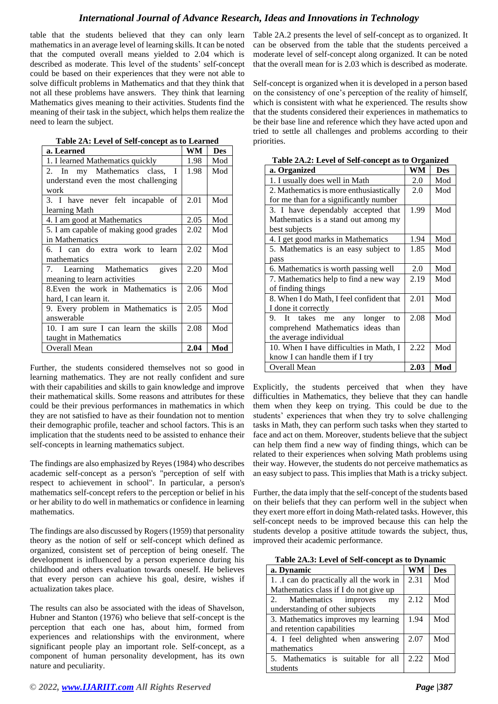table that the students believed that they can only learn mathematics in an average level of learning skills. It can be noted that the computed overall means yielded to 2.04 which is described as moderate. This level of the students' self-concept could be based on their experiences that they were not able to solve difficult problems in Mathematics and that they think that not all these problems have answers. They think that learning Mathematics gives meaning to their activities. Students find the meaning of their task in the subject, which helps them realize the need to learn the subject.

| Table 2A: Level of Self-concept as to Learned |
|-----------------------------------------------|
|-----------------------------------------------|

| a. Learned                            |      | <b>Des</b> |
|---------------------------------------|------|------------|
| 1. I learned Mathematics quickly      | 1.98 | Mod        |
| 2. In my Mathematics class,<br>T      | 1.98 | Mod        |
| understand even the most challenging  |      |            |
| work                                  |      |            |
| 3. I have never felt incapable of     | 2.01 | Mod        |
| learning Math                         |      |            |
| 4. I am good at Mathematics           | 2.05 | Mod        |
| 5. I am capable of making good grades | 2.02 | Mod        |
| in Mathematics                        |      |            |
| 6. I can do extra work to learn       | 2.02 | Mod        |
| mathematics                           |      |            |
| Learning Mathematics<br>gives<br>7.   | 2.20 | Mod        |
| meaning to learn activities           |      |            |
| 8. Even the work in Mathematics is    | 2.06 | Mod        |
| hard, I can learn it.                 |      |            |
| 9. Every problem in Mathematics is    | 2.05 | Mod        |
| answerable                            |      |            |
| 10. I am sure I can learn the skills  | 2.08 | Mod        |
| taught in Mathematics                 |      |            |
| <b>Overall Mean</b>                   | 2.04 | Mod        |

Further, the students considered themselves not so good in learning mathematics. They are not really confident and sure with their capabilities and skills to gain knowledge and improve their mathematical skills. Some reasons and attributes for these could be their previous performances in mathematics in which they are not satisfied to have as their foundation not to mention their demographic profile, teacher and school factors. This is an implication that the students need to be assisted to enhance their self-concepts in learning mathematics subject.

The findings are also emphasized by Reyes (1984) who describes academic self-concept as a person's "perception of self with respect to achievement in school". In particular, a person's mathematics self-concept refers to the perception or belief in his or her ability to do well in mathematics or confidence in learning mathematics.

The findings are also discussed by Rogers (1959) that personality theory as the notion of self or self-concept which defined as organized, consistent set of perception of being oneself. The development is influenced by a person experience during his childhood and others evaluation towards oneself. He believes that every person can achieve his goal, desire, wishes if actualization takes place.

The results can also be associated with the ideas of Shavelson, Hubner and Stanton (1976) who believe that self-concept is the perception that each one has, about him, formed from experiences and relationships with the environment, where significant people play an important role. Self-concept, as a component of human personality development, has its own nature and peculiarity.

Table 2A.2 presents the level of self-concept as to organized. It can be observed from the table that the students perceived a moderate level of self-concept along organized. It can be noted that the overall mean for is 2.03 which is described as moderate.

Self-concept is organized when it is developed in a person based on the consistency of one's perception of the reality of himself, which is consistent with what he experienced. The results show that the students considered their experiences in mathematics to be their base line and reference which they have acted upon and tried to settle all challenges and problems according to their priorities.

| rabic 21x,2, Lever of Ben-concept as to Organized |      |            |  |
|---------------------------------------------------|------|------------|--|
| a. Organized                                      | WM   | <b>Des</b> |  |
| 1. I usually does well in Math                    | 2.0  | Mod        |  |
| 2. Mathematics is more enthusiastically           | 2.0  | Mod        |  |
| for me than for a significantly number            |      |            |  |
| 3. I have dependably accepted that                | 1.99 | Mod        |  |
| Mathematics is a stand out among my               |      |            |  |
| best subjects                                     |      |            |  |
| 4. I get good marks in Mathematics                | 1.94 | Mod        |  |
| 5. Mathematics is an easy subject to              | 1.85 | Mod        |  |
| pass                                              |      |            |  |
| 6. Mathematics is worth passing well              | 2.0  | Mod        |  |
| 7. Mathematics help to find a new way             | 2.19 | Mod        |  |
| of finding things                                 |      |            |  |
| 8. When I do Math, I feel confident that          | 2.01 | Mod        |  |
| I done it correctly                               |      |            |  |
| 9. It takes me<br>longer<br>any<br>to             | 2.08 | Mod        |  |
| comprehend Mathematics ideas than                 |      |            |  |
| the average individual                            |      |            |  |
| 10. When I have difficulties in Math, I           | 2.22 | Mod        |  |
| know I can handle them if I try                   |      |            |  |
| <b>Overall Mean</b>                               | 2.03 | Mod        |  |

**Table 2A.2: Level of Self-concept as to Organized**

Explicitly, the students perceived that when they have difficulties in Mathematics, they believe that they can handle them when they keep on trying. This could be due to the students' experiences that when they try to solve challenging tasks in Math, they can perform such tasks when they started to face and act on them. Moreover, students believe that the subject can help them find a new way of finding things, which can be related to their experiences when solving Math problems using their way. However, the students do not perceive mathematics as an easy subject to pass. This implies that Math is a tricky subject.

Further, the data imply that the self-concept of the students based on their beliefs that they can perform well in the subject when they exert more effort in doing Math-related tasks. However, this self-concept needs to be improved because this can help the students develop a positive attitude towards the subject, thus, improved their academic performance.

| Table 2A.3: Level of Self-concept as to Dynamic |  |
|-------------------------------------------------|--|
|-------------------------------------------------|--|

| a. Dynamic                              | WM   | <b>Des</b> |
|-----------------------------------------|------|------------|
| 1. I can do practically all the work in | 2.31 | Mod        |
| Mathematics class if I do not give up   |      |            |
| Mathematics improves<br>$2^{+}$<br>my   | 2.12 | Mod        |
| understanding of other subjects         |      |            |
| 3. Mathematics improves my learning     | 1.94 | Mod        |
| and retention capabilities              |      |            |
| 4. I feel delighted when answering      | 2.07 | Mod        |
| mathematics                             |      |            |
| 5. Mathematics is suitable for all      | 2.22 | Mod        |
| students                                |      |            |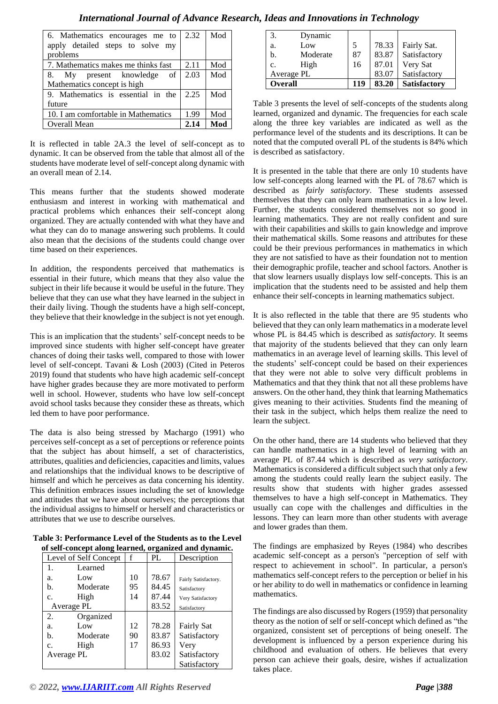| 6. Mathematics encourages me to     | 2.32 | Mod |
|-------------------------------------|------|-----|
| apply detailed steps to solve my    |      |     |
| problems                            |      |     |
| 7. Mathematics makes me thinks fast | 2.11 | Mod |
| 8. My present knowledge<br>of       | 2.03 | Mod |
| Mathematics concept is high         |      |     |
| 9. Mathematics is essential in the  | 2.25 | Mod |
| future                              |      |     |
| 10. I am comfortable in Mathematics | 1.99 | Mod |
| Overall Mean                        | 2.14 | Mod |

It is reflected in table 2A.3 the level of self-concept as to dynamic. It can be observed from the table that almost all of the students have moderate level of self-concept along dynamic with an overall mean of 2.14.

This means further that the students showed moderate enthusiasm and interest in working with mathematical and practical problems which enhances their self-concept along organized. They are actually contended with what they have and what they can do to manage answering such problems. It could also mean that the decisions of the students could change over time based on their experiences.

In addition, the respondents perceived that mathematics is essential in their future, which means that they also value the subject in their life because it would be useful in the future. They believe that they can use what they have learned in the subject in their daily living. Though the students have a high self-concept, they believe that their knowledge in the subject is not yet enough.

This is an implication that the students' self-concept needs to be improved since students with higher self-concept have greater chances of doing their tasks well, compared to those with lower level of self-concept. Tavani & Losh (2003) (Cited in Peteros 2019) found that students who have high academic self-concept have higher grades because they are more motivated to perform well in school. However, students who have low self-concept avoid school tasks because they consider these as threats, which led them to have poor performance.

The data is also being stressed by Machargo (1991) who perceives self-concept as a set of perceptions or reference points that the subject has about himself, a set of characteristics, attributes, qualities and deficiencies, capacities and limits, values and relationships that the individual knows to be descriptive of himself and which he perceives as data concerning his identity. This definition embraces issues including the set of knowledge and attitudes that we have about ourselves; the perceptions that the individual assigns to himself or herself and characteristics or attributes that we use to describe ourselves.

**Table 3: Performance Level of the Students as to the Level of self-concept along learned, organized and dynamic.**

|            | Level of Self Concept | f  | $\tilde{}$<br>PL | Description          |
|------------|-----------------------|----|------------------|----------------------|
| 1.         | Learned               |    |                  |                      |
| a.         | Low                   | 10 | 78.67            | Fairly Satisfactory. |
| b.         | Moderate              | 95 | 84.45            | Satisfactory         |
| c.         | High                  | 14 | 87.44            | Very Satisfactory    |
|            | Average PL            |    | 83.52            | Satisfactory         |
| 2.         | Organized             |    |                  |                      |
| a.         | Low                   | 12 | 78.28            | Fairly Sat           |
| b.         | Moderate              | 90 | 83.87            | Satisfactory         |
| c.         | High                  | 17 | 86.93            | Very                 |
| Average PL |                       |    | 83.02            | Satisfactory         |
|            |                       |    |                  | Satisfactory         |

| 3.             | Dynamic    |     |       |                     |
|----------------|------------|-----|-------|---------------------|
| a.             | Low        |     | 78.33 | Fairly Sat.         |
| b.             | Moderate   | 87  | 83.87 | Satisfactory        |
| $\mathbf{c}$ . | High       | 16  | 87.01 | Very Sat            |
|                | Average PL |     | 83.07 | Satisfactory        |
| <b>Overall</b> |            | 119 | 83.20 | <b>Satisfactory</b> |

Table 3 presents the level of self-concepts of the students along learned, organized and dynamic. The frequencies for each scale along the three key variables are indicated as well as the performance level of the students and its descriptions. It can be noted that the computed overall PL of the students is 84% which is described as satisfactory.

It is presented in the table that there are only 10 students have low self-concepts along learned with the PL of 78.67 which is described as *fairly satisfactory*. These students assessed themselves that they can only learn mathematics in a low level. Further, the students considered themselves not so good in learning mathematics. They are not really confident and sure with their capabilities and skills to gain knowledge and improve their mathematical skills. Some reasons and attributes for these could be their previous performances in mathematics in which they are not satisfied to have as their foundation not to mention their demographic profile, teacher and school factors. Another is that slow learners usually displays low self-concepts. This is an implication that the students need to be assisted and help them enhance their self-concepts in learning mathematics subject.

It is also reflected in the table that there are 95 students who believed that they can only learn mathematics in a moderate level whose PL is 84.45 which is described as *satisfactory.* It seems that majority of the students believed that they can only learn mathematics in an average level of learning skills. This level of the students' self-concept could be based on their experiences that they were not able to solve very difficult problems in Mathematics and that they think that not all these problems have answers. On the other hand, they think that learning Mathematics gives meaning to their activities. Students find the meaning of their task in the subject, which helps them realize the need to learn the subject.

On the other hand, there are 14 students who believed that they can handle mathematics in a high level of learning with an average PL of 87.44 which is described as *very satisfactory*. Mathematics is considered a difficult subject such that only a few among the students could really learn the subject easily. The results show that students with higher grades assessed themselves to have a high self-concept in Mathematics. They usually can cope with the challenges and difficulties in the lessons. They can learn more than other students with average and lower grades than them.

The findings are emphasized by Reyes (1984) who describes academic self-concept as a person's "perception of self with respect to achievement in school". In particular, a person's mathematics self-concept refers to the perception or belief in his or her ability to do well in mathematics or confidence in learning mathematics.

The findings are also discussed by Rogers (1959) that personality theory as the notion of self or self-concept which defined as "the organized, consistent set of perceptions of being oneself. The development is influenced by a person experience during his childhood and evaluation of others. He believes that every person can achieve their goals, desire, wishes if actualization takes place.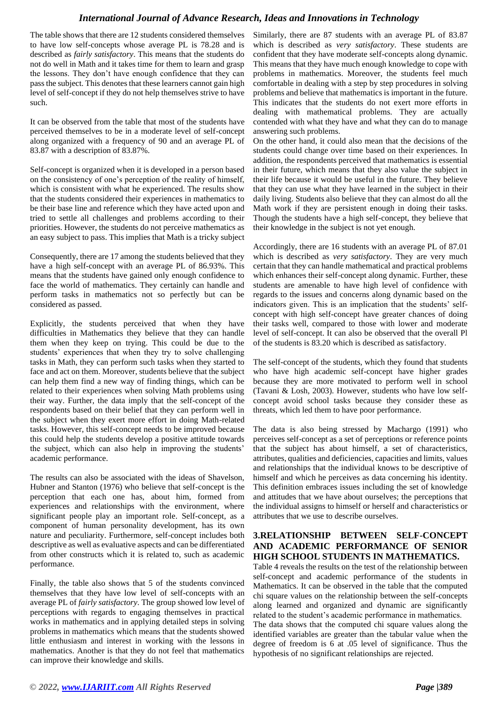The table shows that there are 12 students considered themselves to have low self-concepts whose average PL is 78.28 and is described as *fairly satisfactory*. This means that the students do not do well in Math and it takes time for them to learn and grasp the lessons. They don't have enough confidence that they can pass the subject. This denotes that these learners cannot gain high level of self-concept if they do not help themselves strive to have such.

It can be observed from the table that most of the students have perceived themselves to be in a moderate level of self-concept along organized with a frequency of 90 and an average PL of 83.87 with a description of 83.87%.

Self-concept is organized when it is developed in a person based on the consistency of one's perception of the reality of himself, which is consistent with what he experienced. The results show that the students considered their experiences in mathematics to be their base line and reference which they have acted upon and tried to settle all challenges and problems according to their priorities. However, the students do not perceive mathematics as an easy subject to pass. This implies that Math is a tricky subject

Consequently, there are 17 among the students believed that they have a high self-concept with an average PL of 86.93%. This means that the students have gained only enough confidence to face the world of mathematics. They certainly can handle and perform tasks in mathematics not so perfectly but can be considered as passed.

Explicitly, the students perceived that when they have difficulties in Mathematics they believe that they can handle them when they keep on trying. This could be due to the students' experiences that when they try to solve challenging tasks in Math, they can perform such tasks when they started to face and act on them. Moreover, students believe that the subject can help them find a new way of finding things, which can be related to their experiences when solving Math problems using their way. Further, the data imply that the self-concept of the respondents based on their belief that they can perform well in the subject when they exert more effort in doing Math-related tasks. However, this self-concept needs to be improved because this could help the students develop a positive attitude towards the subject, which can also help in improving the students' academic performance.

The results can also be associated with the ideas of Shavelson, Hubner and Stanton (1976) who believe that self-concept is the perception that each one has, about him, formed from experiences and relationships with the environment, where significant people play an important role. Self-concept, as a component of human personality development, has its own nature and peculiarity. Furthermore, self-concept includes both descriptive as well as evaluative aspects and can be differentiated from other constructs which it is related to, such as academic performance.

Finally, the table also shows that 5 of the students convinced themselves that they have low level of self-concepts with an average PL of *fairly satisfactory*. The group showed low level of perceptions with regards to engaging themselves in practical works in mathematics and in applying detailed steps in solving problems in mathematics which means that the students showed little enthusiasm and interest in working with the lessons in mathematics. Another is that they do not feel that mathematics can improve their knowledge and skills.

Similarly, there are 87 students with an average PL of 83.87 which is described as *very satisfactory*. These students are confident that they have moderate self-concepts along dynamic. This means that they have much enough knowledge to cope with problems in mathematics. Moreover, the students feel much comfortable in dealing with a step by step procedures in solving problems and believe that mathematics is important in the future. This indicates that the students do not exert more efforts in dealing with mathematical problems. They are actually contended with what they have and what they can do to manage answering such problems.

On the other hand, it could also mean that the decisions of the students could change over time based on their experiences. In addition, the respondents perceived that mathematics is essential in their future, which means that they also value the subject in their life because it would be useful in the future. They believe that they can use what they have learned in the subject in their daily living. Students also believe that they can almost do all the Math work if they are persistent enough in doing their tasks. Though the students have a high self-concept, they believe that their knowledge in the subject is not yet enough.

Accordingly, there are 16 students with an average PL of 87.01 which is described as *very satisfactory*. They are very much certain that they can handle mathematical and practical problems which enhances their self-concept along dynamic. Further, these students are amenable to have high level of confidence with regards to the issues and concerns along dynamic based on the indicators given. This is an implication that the students' selfconcept with high self-concept have greater chances of doing their tasks well, compared to those with lower and moderate level of self-concept. It can also be observed that the overall Pl of the students is 83.20 which is described as satisfactory.

The self-concept of the students, which they found that students who have high academic self-concept have higher grades because they are more motivated to perform well in school (Tavani & Losh, 2003). However, students who have low selfconcept avoid school tasks because they consider these as threats, which led them to have poor performance.

The data is also being stressed by Machargo (1991) who perceives self-concept as a set of perceptions or reference points that the subject has about himself, a set of characteristics, attributes, qualities and deficiencies, capacities and limits, values and relationships that the individual knows to be descriptive of himself and which he perceives as data concerning his identity. This definition embraces issues including the set of knowledge and attitudes that we have about ourselves; the perceptions that the individual assigns to himself or herself and characteristics or attributes that we use to describe ourselves.

# **3.RELATIONSHIP BETWEEN SELF-CONCEPT AND ACADEMIC PERFORMANCE OF SENIOR HIGH SCHOOL STUDENTS IN MATHEMATICS.**

Table 4 reveals the results on the test of the relationship between self-concept and academic performance of the students in Mathematics. It can be observed in the table that the computed chi square values on the relationship between the self-concepts along learned and organized and dynamic are significantly related to the student's academic performance in mathematics. The data shows that the computed chi square values along the identified variables are greater than the tabular value when the degree of freedom is 6 at .05 level of significance. Thus the hypothesis of no significant relationships are rejected.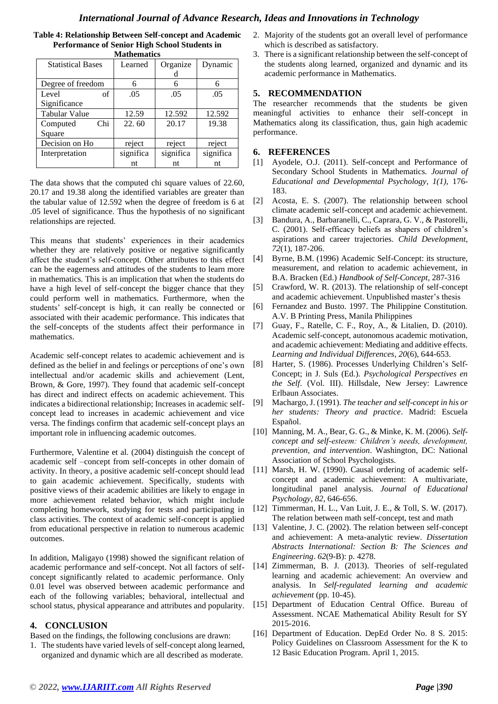| Table 4: Relationship Between Self-concept and Academic |
|---------------------------------------------------------|
| <b>Performance of Senior High School Students in</b>    |
| Mathematics                                             |

| <b>Statistical Bases</b> | Learned   | Organize  | Dynamic   |  |  |
|--------------------------|-----------|-----------|-----------|--|--|
|                          |           | d         |           |  |  |
| Degree of freedom        | 6         | 6         | 6         |  |  |
| of<br>Level              | .05       | .05       | .05       |  |  |
| Significance             |           |           |           |  |  |
| <b>Tabular Value</b>     | 12.59     | 12.592    | 12.592    |  |  |
| Chi<br>Computed          | 22.60     | 20.17     | 19.38     |  |  |
| Square                   |           |           |           |  |  |
| Decision on Ho           | reject    | reject    | reject    |  |  |
| Interpretation           | significa | significa | significa |  |  |
|                          | nt        | nt        | nt        |  |  |

The data shows that the computed chi square values of 22.60, 20.17 and 19.38 along the identified variables are greater than the tabular value of 12.592 when the degree of freedom is 6 at .05 level of significance. Thus the hypothesis of no significant relationships are rejected.

This means that students' experiences in their academics whether they are relatively positive or negative significantly affect the student's self-concept. Other attributes to this effect can be the eagerness and attitudes of the students to learn more in mathematics. This is an implication that when the students do have a high level of self-concept the bigger chance that they could perform well in mathematics. Furthermore, when the students' self-concept is high, it can really be connected or associated with their academic performance. This indicates that the self-concepts of the students affect their performance in mathematics.

Academic self-concept relates to academic achievement and is defined as the belief in and feelings or perceptions of one's own intellectual and/or academic skills and achievement (Lent, Brown, & Gore, 1997). They found that academic self-concept has direct and indirect effects on academic achievement. This indicates a bidirectional relationship; Increases in academic selfconcept lead to increases in academic achievement and vice versa. The findings confirm that academic self-concept plays an important role in influencing academic outcomes.

Furthermore, Valentine et al. (2004) distinguish the concept of academic self –concept from self-concepts in other domain of activity. In theory, a positive academic self-concept should lead to gain academic achievement. Specifically, students with positive views of their academic abilities are likely to engage in more achievement related behavior, which might include completing homework, studying for tests and participating in class activities. The context of academic self-concept is applied from educational perspective in relation to numerous academic outcomes.

In addition, Maligayo (1998) showed the significant relation of academic performance and self-concept. Not all factors of selfconcept significantly related to academic performance. Only 0.01 level was observed between academic performance and each of the following variables; behavioral, intellectual and school status, physical appearance and attributes and popularity.

# **4. CONCLUSION**

Based on the findings, the following conclusions are drawn:

1. The students have varied levels of self-concept along learned, organized and dynamic which are all described as moderate.

- 2. Majority of the students got an overall level of performance which is described as satisfactory.
- 3. There is a significant relationship between the self-concept of the students along learned, organized and dynamic and its academic performance in Mathematics.

# **5. RECOMMENDATION**

The researcher recommends that the students be given meaningful activities to enhance their self-concept in Mathematics along its classification, thus, gain high academic performance.

## **6. REFERENCES**

- [1] Ayodele, O.J. (2011). Self-concept and Performance of Secondary School Students in Mathematics. *Journal of Educational and Developmental Psychology, 1(1),* 176- 183.
- [2] Acosta, E. S. (2007). The relationship between school climate academic self-concept and academic achievement.
- [3] Bandura, A., Barbaranelli, C., Caprara, G. V., & Pastorelli, C. (2001). Self‐efficacy beliefs as shapers of children's aspirations and career trajectories. *Child Development*, *72*(1), 187-206.
- [4] Byrne, B.M. (1996) Academic Self-Concept: its structure, measurement, and relation to academic achievement, in B.A. Bracken (Ed.) *Handbook of Self-Concept*, 287-316
- [5] Crawford, W. R. (2013). The relationship of self-concept and academic achievement. Unpublished master's thesis
- [6] Fernandez and Busto. 1997. The Philippine Constitution. A.V. B Printing Press, Manila Philippines
- [7] Guay, F., Ratelle, C. F., Roy, A., & Litalien, D. (2010). Academic self-concept, autonomous academic motivation, and academic achievement: Mediating and additive effects. *Learning and Individual Differences*, *20*(6), 644-653.
- [8] Harter, S. (1986). Processes Underlying Children's Self-Concept; in J. Suls (Ed.). *Psychological Perspectives en the Self*. (Vol. III). Hillsdale, New Jersey: Lawrence Erlbaun Associates.
- [9] Machargo, J. (1991). *The teacher and self-concept in his or her students: Theory and practice*. Madrid: Escuela Español.
- [10] Manning, M. A., Bear, G. G., & Minke, K. M. (2006). *Selfconcept and self-esteem: Children's needs, development, prevention, and intervention*. Washington, DC: National Association of School Psychologists.
- [11] Marsh, H. W. (1990). Causal ordering of academic selfconcept and academic achievement: A multivariate, longitudinal panel analysis. *Journal of Educational Psychology*, *82*, 646-656.
- [12] Timmerman, H. L., Van Luit, J. E., & Toll, S. W. (2017). The relation between math self-concept, test and math
- [13] Valentine, J. C. (2002). The relation between self-concept and achievement: A meta-analytic review. *Dissertation Abstracts International: Section B: The Sciences and Engineering*. *62*(9-B): p. 4278.
- [14] Zimmerman, B. J. (2013). Theories of self-regulated learning and academic achievement: An overview and analysis. In *Self-regulated learning and academic achievement* (pp. 10-45).
- [15] Department of Education Central Office. Bureau of Assessment. NCAE Mathematical Ability Result for SY 2015-2016.
- [16] Department of Education. DepEd Order No. 8 S. 2015: Policy Guidelines on Classroom Assessment for the K to 12 Basic Education Program. April 1, 2015.